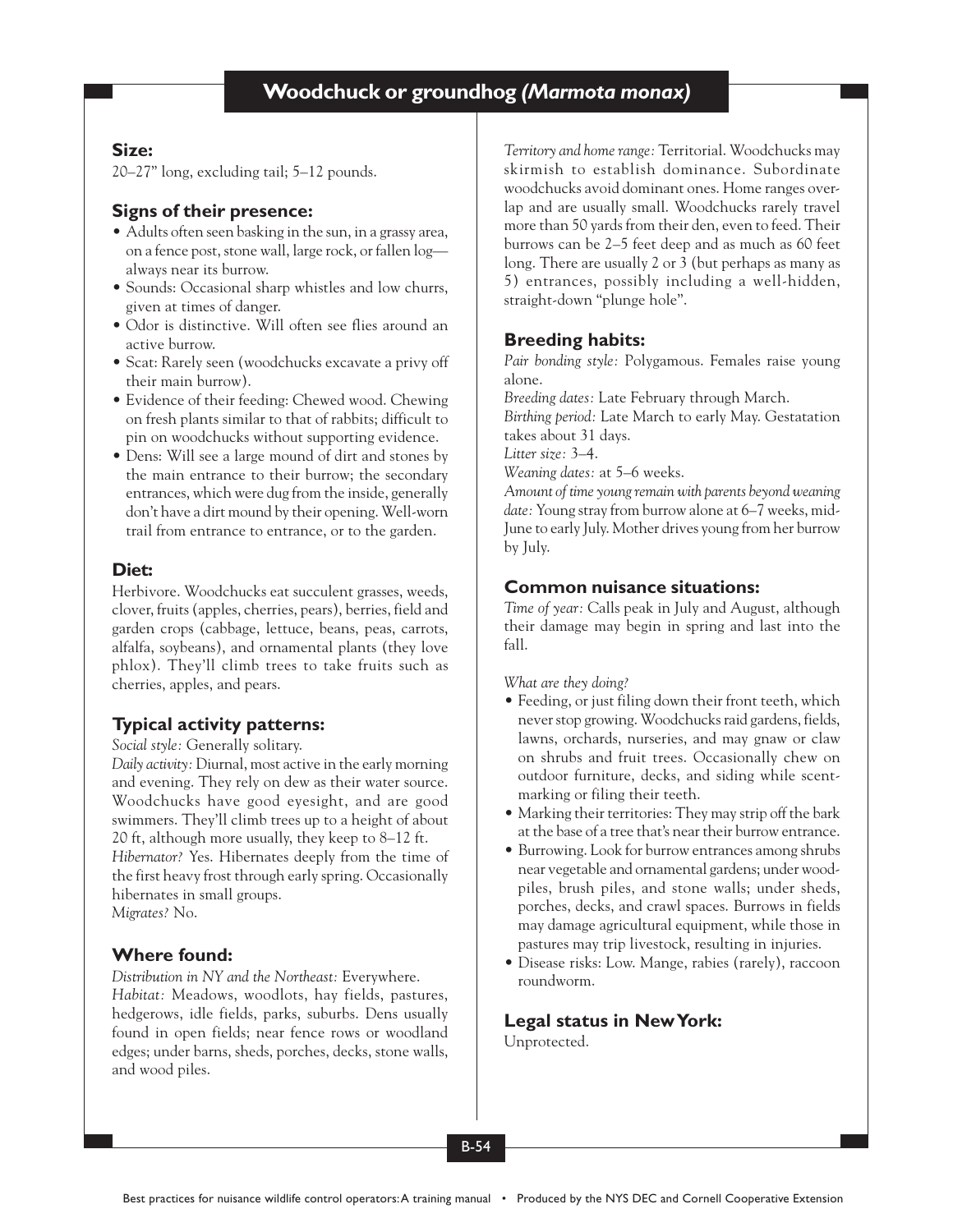## **Size:**

20–27" long, excluding tail; 5–12 pounds.

# **Signs of their presence:**

- Adults often seen basking in the sun, in a grassy area, on a fence post, stone wall, large rock, or fallen log always near its burrow.
- Sounds: Occasional sharp whistles and low churrs, given at times of danger.
- Odor is distinctive. Will often see flies around an active burrow.
- Scat: Rarely seen (woodchucks excavate a privy off their main burrow).
- Evidence of their feeding: Chewed wood. Chewing on fresh plants similar to that of rabbits; difficult to pin on woodchucks without supporting evidence.
- Dens: Will see a large mound of dirt and stones by the main entrance to their burrow; the secondary entrances, which were dug from the inside, generally don't have a dirt mound by their opening. Well-worn trail from entrance to entrance, or to the garden.

## **Diet:**

Herbivore. Woodchucks eat succulent grasses, weeds, clover, fruits (apples, cherries, pears), berries, field and garden crops (cabbage, lettuce, beans, peas, carrots, alfalfa, soybeans), and ornamental plants (they love phlox). They'll climb trees to take fruits such as cherries, apples, and pears.

# **Typical activity patterns:**

*Social style:* Generally solitary.

*Daily activity:* Diurnal, most active in the early morning and evening. They rely on dew as their water source. Woodchucks have good eyesight, and are good swimmers. They'll climb trees up to a height of about 20 ft, although more usually, they keep to 8–12 ft. *Hibernator?* Yes. Hibernates deeply from the time of the first heavy frost through early spring. Occasionally hibernates in small groups. *Migrates?* No.

## **Where found:**

*Distribution in NY and the Northeast:* Everywhere. *Habitat:* Meadows, woodlots, hay fields, pastures, hedgerows, idle fields, parks, suburbs. Dens usually found in open fields; near fence rows or woodland edges; under barns, sheds, porches, decks, stone walls, and wood piles.

*Territory and home range:* Territorial. Woodchucks may skirmish to establish dominance. Subordinate woodchucks avoid dominant ones. Home ranges overlap and are usually small. Woodchucks rarely travel more than 50 yards from their den, even to feed. Their burrows can be 2–5 feet deep and as much as 60 feet long. There are usually 2 or 3 (but perhaps as many as 5) entrances, possibly including a well-hidden, straight-down "plunge hole".

# **Breeding habits:**

*Pair bonding style:* Polygamous. Females raise young alone.

*Breeding dates:* Late February through March.

*Birthing period:* Late March to early May. Gestatation takes about 31 days.

*Litter size:* 3–4.

*Weaning dates:* at 5–6 weeks.

*Amount of time young remain with parents beyond weaning date:* Young stray from burrow alone at 6–7 weeks, mid-June to early July. Mother drives young from her burrow by July.

# **Common nuisance situations:**

*Time of year:* Calls peak in July and August, although their damage may begin in spring and last into the fall.

*What are they doing?*

- Feeding, or just filing down their front teeth, which never stop growing. Woodchucks raid gardens, fields, lawns, orchards, nurseries, and may gnaw or claw on shrubs and fruit trees. Occasionally chew on outdoor furniture, decks, and siding while scentmarking or filing their teeth.
- Marking their territories: They may strip off the bark at the base of a tree that's near their burrow entrance.
- Burrowing. Look for burrow entrances among shrubs near vegetable and ornamental gardens; under woodpiles, brush piles, and stone walls; under sheds, porches, decks, and crawl spaces. Burrows in fields may damage agricultural equipment, while those in pastures may trip livestock, resulting in injuries.
- Disease risks: Low. Mange, rabies (rarely), raccoon roundworm.

# **Legal status in New York:**

Unprotected.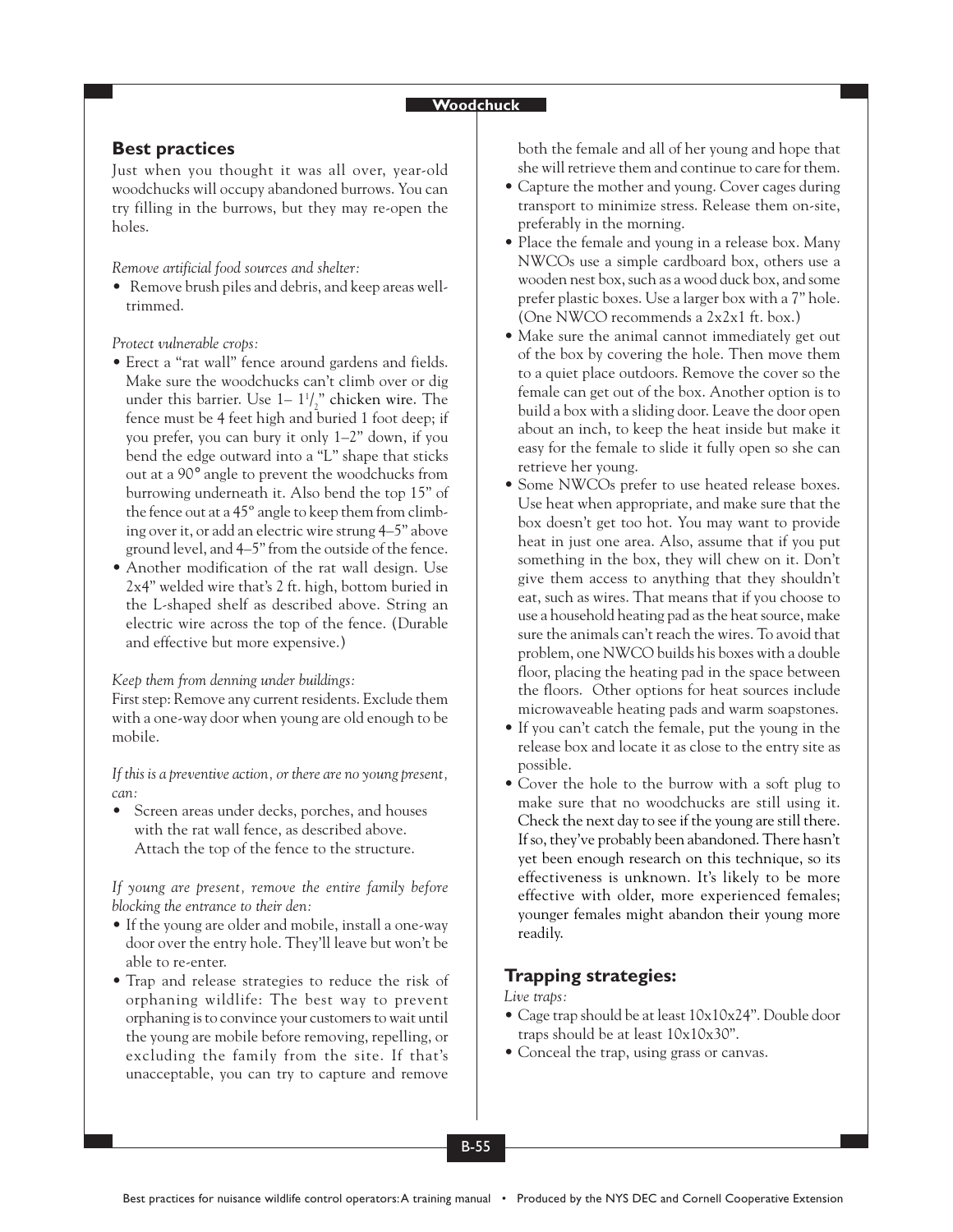#### **Woodchuck**

### **Best practices**

Just when you thought it was all over, year-old woodchucks will occupy abandoned burrows. You can try filling in the burrows, but they may re-open the holes.

*Remove artificial food sources and shelter:*

• Remove brush piles and debris, and keep areas welltrimmed.

*Protect vulnerable crops:*

- Erect a "rat wall" fence around gardens and fields. Make sure the woodchucks can't climb over or dig under this barrier. Use  $1-1<sup>1</sup> / \frac{1}{2}$ " chicken wire. The fence must be 4 feet high and buried 1 foot deep; if you prefer, you can bury it only 1–2" down, if you bend the edge outward into a "L" shape that sticks out at a 90° angle to prevent the woodchucks from burrowing underneath it. Also bend the top 15" of the fence out at a 45º angle to keep them from climbing over it, or add an electric wire strung 4–5" above ground level, and 4–5" from the outside of the fence.
- Another modification of the rat wall design. Use 2x4" welded wire that's 2 ft. high, bottom buried in the L-shaped shelf as described above. String an electric wire across the top of the fence. (Durable and effective but more expensive.)

*Keep them from denning under buildings:*

First step: Remove any current residents. Exclude them with a one-way door when young are old enough to be mobile.

*If this is a preventive action, or there are no young present, can:*

• Screen areas under decks, porches, and houses with the rat wall fence, as described above. Attach the top of the fence to the structure.

*If young are present, remove the entire family before blocking the entrance to their den:*

- If the young are older and mobile, install a one-way door over the entry hole. They'll leave but won't be able to re-enter.
- Trap and release strategies to reduce the risk of orphaning wildlife: The best way to prevent orphaning is to convince your customers to wait until the young are mobile before removing, repelling, or excluding the family from the site. If that's unacceptable, you can try to capture and remove

both the female and all of her young and hope that she will retrieve them and continue to care for them.

- Capture the mother and young. Cover cages during transport to minimize stress. Release them on-site, preferably in the morning.
- Place the female and young in a release box. Many NWCOs use a simple cardboard box, others use a wooden nest box, such as a wood duck box, and some prefer plastic boxes. Use a larger box with a 7" hole. (One NWCO recommends a 2x2x1 ft. box.)
- Make sure the animal cannot immediately get out of the box by covering the hole. Then move them to a quiet place outdoors. Remove the cover so the female can get out of the box. Another option is to build a box with a sliding door. Leave the door open about an inch, to keep the heat inside but make it easy for the female to slide it fully open so she can retrieve her young.
- Some NWCOs prefer to use heated release boxes. Use heat when appropriate, and make sure that the box doesn't get too hot. You may want to provide heat in just one area. Also, assume that if you put something in the box, they will chew on it. Don't give them access to anything that they shouldn't eat, such as wires. That means that if you choose to use a household heating pad as the heat source, make sure the animals can't reach the wires. To avoid that problem, one NWCO builds his boxes with a double floor, placing the heating pad in the space between the floors. Other options for heat sources include microwaveable heating pads and warm soapstones.
- If you can't catch the female, put the young in the release box and locate it as close to the entry site as possible.
- Cover the hole to the burrow with a soft plug to make sure that no woodchucks are still using it. Check the next day to see if the young are still there. If so, they've probably been abandoned. There hasn't yet been enough research on this technique, so its effectiveness is unknown. It's likely to be more effective with older, more experienced females; younger females might abandon their young more readily.

## **Trapping strategies:**

### *Live traps:*

- Cage trap should be at least 10x10x24". Double door traps should be at least 10x10x30".
- Conceal the trap, using grass or canvas.